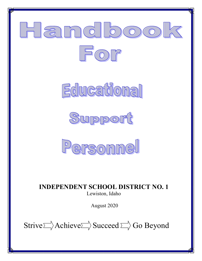







INDEPENDENT SCHOOL DISTRICT NO. 1 Lewiston, Idaho

August 2020

Strive  $\Rightarrow$  Achieve  $\Rightarrow$  Succeed  $\Rightarrow$  Go Beyond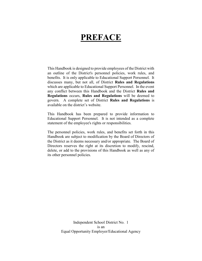# PREFACE

This Handbook is designed to provide employees of the District with an outline of the District's personnel policies, work rules, and benefits. It is only applicable to Educational Support Personnel. It discusses many, but not all, of District Rules and Regulations which are applicable to Educational Support Personnel. In the event any conflict between this Handbook and the District Rules and Regulations occurs, Rules and Regulations will be deemed to govern. A complete set of District Rules and Regulations is available on the district's website.

This Handbook has been prepared to provide information to Educational Support Personnel. It is not intended as a complete statement of the employee's rights or responsibilities.

The personnel policies, work rules, and benefits set forth in this Handbook are subject to modification by the Board of Directors of the District as it deems necessary and/or appropriate. The Board of Directors reserves the right at its discretion to modify, rescind, delete, or add to the provisions of this Handbook as well as any of its other personnel policies.

> Independent School District No. 1 is an Equal Opportunity Employer/Educational Agency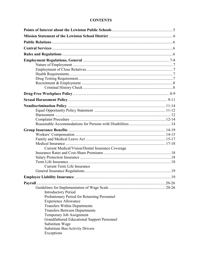# **CONTENTS**

| Current Medical/Vision/Dental Insurance Coverage   |  |
|----------------------------------------------------|--|
|                                                    |  |
|                                                    |  |
|                                                    |  |
| <b>Current Term Life Insurance</b>                 |  |
|                                                    |  |
|                                                    |  |
|                                                    |  |
|                                                    |  |
| <b>Introductory Period</b>                         |  |
| Probationary Period for Returning Personnel        |  |
| <b>Experience Allowance</b>                        |  |
| <b>Transfers Within Departments</b>                |  |
| <b>Transfers Between Departments</b>               |  |
| Temporary Job Assignment                           |  |
| <b>Grandfathered Educational Support Personnel</b> |  |
| Substitute Wage                                    |  |
| <b>Substitute Bus/Activity Drivers</b>             |  |
| Exceptions                                         |  |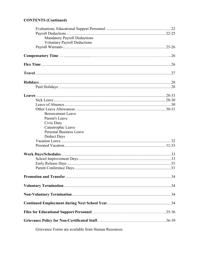# **CONTENTS (Continued)**

| <b>Mandatory Payroll Deductions</b> |  |
|-------------------------------------|--|
| <b>Voluntary Payroll Deductions</b> |  |
|                                     |  |
|                                     |  |
|                                     |  |
|                                     |  |
|                                     |  |
|                                     |  |
|                                     |  |
|                                     |  |
|                                     |  |
|                                     |  |
|                                     |  |
| <b>Bereavement Leave</b>            |  |
| Parent's Leave                      |  |
| Civic Duty                          |  |
| Catastrophic Leave                  |  |
| <b>Personal Business Leave</b>      |  |
| Deduct Days                         |  |
|                                     |  |
|                                     |  |
|                                     |  |
|                                     |  |
|                                     |  |
|                                     |  |
|                                     |  |
|                                     |  |
|                                     |  |
|                                     |  |
|                                     |  |
|                                     |  |
|                                     |  |
|                                     |  |

Grievance Forms are available from Human Resources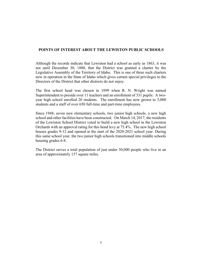# POINTS OF INTEREST ABOUT THE LEWISTON PUBLIC SCHOOLS

Although the records indicate that Lewiston had a school as early as 1863, it was not until December 30, 1880, that the District was granted a charter by the Legislative Assembly of the Territory of Idaho. This is one of three such charters now in operation in the State of Idaho which gives certain special privileges to the Directors of the District that other districts do not enjoy.

The first school head was chosen in 1899 when R. N. Wright was named Superintendent to preside over 11 teachers and an enrollment of 331 pupils. A twoyear high school enrolled 20 students. The enrollment has now grown to 5,000 students and a staff of over 650 full-time and part-time employees.

Since 1948, seven new elementary schools, two junior high schools, a new high school and other facilities have been constructed. On March 14, 2017, the residents of the Lewiston School District voted to build a new high school in the Lewiston Orchards with an approval rating for this bond levy at 75.4%. The new high school houses grades 9-12 and opened at the start of the 2020-2021 school year. During this same school year, the two junior high schools transitioned into middle schools housing grades 6-8.

The District serves a total population of just under 30,000 people who live in an area of approximately 137 square miles.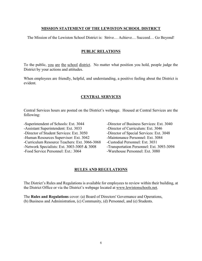# MISSION STATEMENT OF THE LEWISTON SCHOOL DISTRICT

The Mission of the Lewiston School District is: Strive… Achieve… Succeed… Go Beyond!

# PUBLIC RELATIONS

To the public, you are the school district. No matter what position you hold, people judge the District by your actions and attitudes.

When employees are friendly, helpful, and understanding, a positive feeling about the District is evident.

# CENTRAL SERVICES

Central Services hours are posted on the District's webpage. Housed at Central Services are the following:

-Superintendent of Schools: Ext. 3044 -Director of Business Services: Ext. 3040 -Assistant Superintendent: Ext. 3033 -Director of Curriculum: Ext. 3046 -Director of Student Services: Ext. 3050 -Director of Special Services: Ext. 3048 -Human Resources Supervisor: Ext. 3042 -Maintenance Personnel: Ext. 3084 -Curriculum Resource Teachers: Ext. 3066-3068 -Custodial Personnel: Ext. 3031 -Network Specialists: Ext. 3003-3005 & 3008 -Transportation Personnel: Ext. 3093-3094 -Food Service Personnel: Ext.: 3064 -Warehouse Personnel: Ext. 3080

# RULES AND REGULATIONS

The District's Rules and Regulations is available for employees to review within their building, at the District Office or via the District's webpage located at www.lewistonschools.net.

The Rules and Regulations cover: (a) Board of Directors' Governance and Operations, (b) Business and Administration, (c) Community, (d) Personnel, and (e) Students.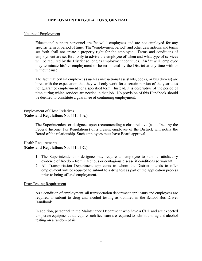# EMPLOYMENT REGULATIONS, GENERAL

#### Nature of Employment

Educational support personnel are "at will" employees and are not employed for any specific term or period of time. The "employment period" and other descriptions and terms set forth shall not create a property right for the employee. Terms and conditions of employment are set forth only to advise the employee of when and what type of services will be required by the District so long as employment continues. An "at will" employee may terminate his/her employment or be terminated by the District at any time with or without cause.

The fact that certain employees (such as instructional assistants, cooks, or bus drivers) are hired with the expectation that they will only work for a certain portion of the year does not guarantee employment for a specified term. Instead, it is descriptive of the period of time during which services are needed in that job. No provision of this Handbook should be deemed to constitute a guarantee of continuing employment.

# Employment of Close Relatives (Rules and Regulations No. 4410.4.A.)

The Superintendent or designee, upon recommending a close relative (as defined by the Federal Income Tax Regulations) of a present employee of the District, will notify the Board of the relationship. Such employees must have Board approval.

# Health Requirements (Rules and Regulations No. 4410.4.C.)

- 1. The Superintendent or designee may require an employee to submit satisfactory evidence of freedom from infectious or contagious disease if conditions so warrant.
- 2. All Transportation Department applicants to whom the District intends to offer employment will be required to submit to a drug test as part of the application process prior to being offered employment.

### Drug Testing Requirement

As a condition of employment, all transportation department applicants and employees are required to submit to drug and alcohol testing as outlined in the School Bus Driver Handbook.

In addition, personnel in the Maintenance Department who have a CDL and are expected to operate equipment that require such licensure are required to submit to drug and alcohol testing on a random basis.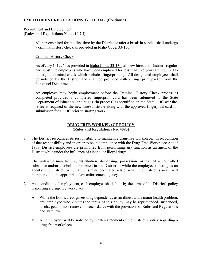# EMPLOYMENT REGULATIONS, GENERAL (Continued)

# Recruitment and Employment (Rules and Regulations No. 4410.2.I)

All persons hired for the first time by the District or after a break in service shall undergo a criminal history check as provided in Idaho Code, 33-130.

# Criminal History Check

As of July 1, 1996, as provided in Idaho Code, 33-130, all new hires and District regular and substitute employees who have been employed for less than five years are required to undergo a criminal check which includes fingerprinting. All designated employees shall be notified by the District and shall be provided with a fingerprint packet from the Personnel Department.

An employee may begin employment before the Criminal History Check process is completed provided a completed fingerprint card has been submitted to the State Department of Education and this is "in process" as identified on the State CHC website. A fee is required of the new hire/substitute along with the approved fingerprint card for submission for a CHC prior to starting work.

# DRUG-FREE WORKPLACE POLICY (Rules and Regulations No. 4095)

1. The District recognizes its responsibility to maintain a drug-free workplace. In recognition of that responsibility and in order to be in compliance with the Drug-Free Workplace Act of 1988, District employees are prohibited from performing any function as an agent of the District while under the influence of alcohol or illegal drugs.

The unlawful manufacture, distribution, dispensing, possession, or use of a controlled substance and/or alcohol is prohibited in the District or while the employee is acting as an agent of the District. All unlawful substance-related acts of which the District is aware will be reported to the appropriate law enforcement agency.

- 2. As a condition of employment, each employee shall abide by the terms of the District's policy respecting a drug-free workplace.
	- A. While the District recognizes drug dependency as an illness and a major health problem, any employee who violates the terms of this policy may be reprimanded, suspended, discharged, or non-renewed in accordance with the provisions of Rules and Regulations and state law.
	- B. All employees will be notified by written statement of the District's policy regarding a drug-free workplace.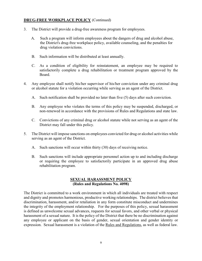# DRUG-FREE WORKPLACE POLICY (Continued)

- 3. The District will provide a drug-free awareness program for employees.
	- A. Such a program will inform employees about the dangers of drug and alcohol abuse, the District's drug-free workplace policy, available counseling, and the penalties for drug violation convictions.
	- B. Such information will be distributed at least annually.
	- C. As a condition of eligibility for reinstatement, an employee may be required to satisfactorily complete a drug rehabilitation or treatment program approved by the Board.
- 4. Any employee shall notify his/her supervisor of his/her conviction under any criminal drug or alcohol statute for a violation occurring while serving as an agent of the District.
	- A. Such notification shall be provided no later than five (5) days after such conviction.
	- B. Any employee who violates the terms of this policy may be suspended, discharged, or non-renewed in accordance with the provisions of Rules and Regulations and state law.
	- C. Convictions of any criminal drug or alcohol statute while not serving as an agent of the District may fall under this policy.
- 5. The District will impose sanctions on employees convicted for drug or alcohol activities while serving as an agent of the District.
	- A. Such sanctions will occur within thirty (30) days of receiving notice.
	- B. Such sanctions will include appropriate personnel action up to and including discharge or requiring the employee to satisfactorily participate in an approved drug abuse rehabilitation program.

# SEXUAL HARASSMENT POLICY (Rules and Regulations No. 4098)

The District is committed to a work environment in which all individuals are treated with respect and dignity and promotes harmonious, productive working relationships. The district believes that discrimination, harassment, and/or retaliation in any form constitute misconduct and undermines the integrity of the employment relationship. For the purposes of this policy, sexual harassment is defined as unwelcome sexual advances, requests for sexual favors, and other verbal or physical harassment of a sexual nature. It is the policy of the District that there be no discrimination against any employee or applicant on the basis of gender, sexual orientation and gender identity or expression. Sexual harassment is a violation of the Rules and Regulations, as well as federal law.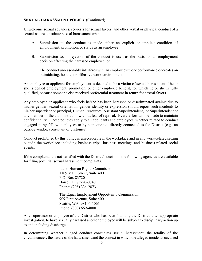# **SEXUAL HARASSMENT POLICY** (Continued)

Unwelcome sexual advances, requests for sexual favors, and other verbal or physical conduct of a sexual nature constitute sexual harassment when:

- A. Submission to the conduct is made either an explicit or implicit condition of employment, promotion, or status as an employee;
- B. Submission to, or rejection of the conduct is used as the basis for an employment decision affecting the harassed employee; or
- C. The conduct unreasonably interferes with an employee's work performance or creates an intimidating, hostile, or offensive work environment.

An employee or applicant for employment is deemed to be a victim of sexual harassment if he or she is denied employment, promotion, or other employee benefit, for which he or she is fully qualified, because someone else received preferential treatment in return for sexual favors.

Any employee or applicant who feels he/she has been harassed or discriminated against due to his/her gender, sexual orientation, gender identity or expression should report such incidents to his/her supervisor or principal, Human Resources, Assistant Superintendent, or Superintendent or any member of the administration without fear of reprisal. Every effort will be made to maintain confidentiality. These policies apply to all applicants and employees, whether related to conduct engaged in by fellow employees or by someone not directly connected to the District (e.g., an outside vendor, consultant or customer).

Conduct prohibited by this policy is unacceptable in the workplace and in any work-related setting outside the workplace including business trips, business meetings and business-related social events.

If the complainant is not satisfied with the District's decision, the following agencies are available for filing potential sexual harassment complaints.

> Idaho Human Rights Commission 1109 Main Street, Suite 400 P.O. Box 83720 Boise, ID 83720-0040 Phone: (208) 334-2873 The Equal Employment Opportunity Commission 909 First Avenue, Suite 400 Seattle, WA 98104-1061 Phone: (800) 669-4000

Any supervisor or employee of the District who has been found by the District, after appropriate investigation, to have sexually harassed another employee will be subject to disciplinary action up to and including discharge.

In determining whether alleged conduct constitutes sexual harassment, the totality of the circumstances, the nature of the harassment and the context in which the alleged incidents occurred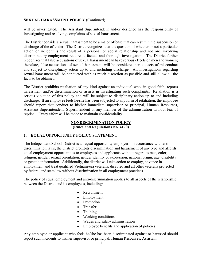# **SEXUAL HARASSMENT POLICY** (Continued)

will be investigated. The Assistant Superintendent and/or designee has the responsibility of investigating and resolving complaints of sexual harassment.

The District considers sexual harassment to be a major offense that can result in the suspension or discharge of the offender. The District recognizes that the question of whether or not a particular action or incident is the result of a personal or social relationship and not one involving discriminatory employment requires a factual and thorough investigation. The District further recognizes that false accusations of sexual harassment can have serious effects on men and women; therefore, false accusations of sexual harassment will be considered serious acts of misconduct and subject to disciplinary action up to and including discharge. All investigations regarding sexual harassment will be conducted with as much discretion as possible and still allow all the facts to be obtained.

The District prohibits retaliation of any kind against an individual who, in good faith, reports harassment and/or discrimination or assists in investigating such complaints. Retaliation is a serious violation of this policy and will be subject to disciplinary action up to and including discharge. If an employee feels he/she has been subjected to any form of retaliation, the employee should report that conduct to his/her immediate supervisor or principal, Human Resources, Assistant Superintendent, Superintendent or any member of the administration without fear of reprisal. Every effort will be made to maintain confidentiality.

### NONDISCRIMINATION POLICY (Rules and Regulations No. 4170)

# 1. EQUAL OPPORTUNITY POLICY STATEMENT

The Independent School District is an equal opportunity employer. In accordance with antidiscrimination laws, the District prohibits discrimination and harassment of any type and affords equal employment opportunities to employees and applicants without regard to race, color, religion, gender, sexual orientation, gender identity or expression, national origin, age, disability or genetic information. Additionally, the district will take action to employ, advance in employment and treat qualified Vietnam-era veterans, disabled and all other veterans protected by federal and state law without discrimination in all employment practices.

The policy of equal employment and anti-discrimination applies to all aspects of the relationship between the District and its employees, including:

- Recruitment
- Employment
- Promotion
- Transfer
- Training
- Working conditions
- Wages and salary administration
- Employee benefits and application of policies

Any employee or applicant who feels he/she has been discriminated against or harassed should report such incidents to his/her supervisor or principal, Human Resources, Assistant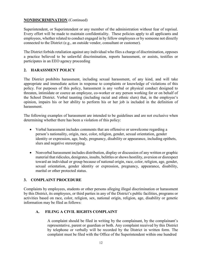# NONDISCRIMINATION (Continued)

Superintendent, or Superintendent or any member of the administration without fear of reprisal. Every effort will be made to maintain confidentiality. These policies apply to all applicants and employees, whether related to conduct engaged in by fellow employees or by someone not directly connected to the District (e.g., an outside vendor, consultant or customer).

The District forbids retaliation against any individual who files a charge of discrimination, opposes a practice believed to be unlawful discrimination, reports harassment, or assists, testifies or participates in an EEO agency proceeding

# 2. HARASSMENT POLICY

The District prohibits harassment, including sexual harassment, of any kind, and will take appropriate and immediate action in response to complaints or knowledge of violations of this policy. For purposes of this policy, harassment is any verbal or physical conduct designed to threaten, intimidate or coerce an employee, co-worker or any person working for or on behalf of the School District. Verbal taunting (including racial and ethnic slurs) that, in the employee's opinion, impairs his or her ability to perform his or her job is included in the definition of harassment.

The following examples of harassment are intended to be guidelines and are not exclusive when determining whether there has been a violation of this policy:

- Verbal harassment includes comments that are offensive or unwelcome regarding a person's nationality, origin, race, color, religion, gender, sexual orientation, gender identity or expression, age, body, pregnancy, disability or appearance, including epithets, slurs and negative stereotyping.
- Nonverbal harassment includes distribution, display or discussion of any written or graphic material that ridicules, denigrates, insults, belittles or shows hostility, aversion or disrespect toward an individual or group because of national origin, race, color, religion, age, gender, sexual orientation, gender identity or expression, pregnancy, appearance, disability, marital or other protected status.

# 3. COMPLAINT PROCEDURE

Complaints by employees, students or other persons alleging illegal discrimination or harassment by this District, its employees, or third parties in any of the District's public facilities, programs or activities based on race, color, religion, sex, national origin, religion, age, disability or genetic information may be filed as follows:

# A. FILING A CIVIL RIGHTS COMPLAINT

A complaint should be filed in writing by the complainant, by the complainant's representative, parent or guardian or both. Any complaint received by this District by telephone or verbally will be recorded by the District in written form. The complaint must be filed with the Office of the Superintendent within one hundred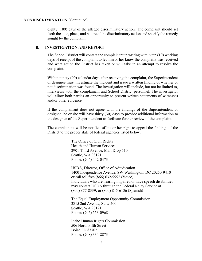#### NONDISCRIMINATION (Continued)

eighty (180) days of the alleged discriminatory action. The complaint should set forth the date, place, and nature of the discriminatory action and specify the remedy sought by the complaint.

### B. INVESTIGATION AND REPORT

The School District will contact the complainant in writing within ten (10) working days of receipt of the complaint to let him or her know the complaint was received and what action the District has taken or will take in an attempt to resolve the complaint.

Within ninety (90) calendar days after receiving the complaint, the Superintendent or designee must investigate the incident and issue a written finding of whether or not discrimination was found. The investigation will include, but not be limited to, interviews with the complainant and School District personnel. The investigator will allow both parties an opportunity to present written statements of witnesses and/or other evidence.

If the complainant does not agree with the findings of the Superintendent or designee, he or she will have thirty (30) days to provide additional information to the designee of the Superintendent to facilitate further review of the complaint.

The complainant will be notified of his or her right to appeal the findings of the District to the proper state of federal agencies listed below.

> The Office of Civil Rights Health and Human Services 2901 Third Avenue, Mail Drop 510 Seattle, WA 98121 Phone: (206) 442-0473

USDA, Director, Office of Adjudication 1400 Independence Avenue, SW Washington, DC 20250-9410 or call toll free (866) 632-9992 (Voice) Individuals who are hearing impaired or have speech disabilities may contact USDA through the Federal Relay Service at (800) 877-8339; or (800) 845-6136 (Spanish)

The Equal Employment Opportunity Commission 2815 2nd Avenue, Suite 500 Seattle, WA 98121 Phone: (206) 553-0968

Idaho Human Rights Commission 506 North Fifth Street Boise, ID 83702 Phone: (208) 334-2873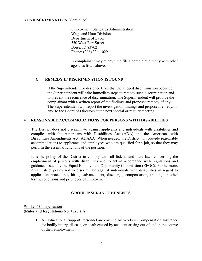### NONDISCRIMINATION (Continued)

Employment Standards Administration Wage and Hour Division Department of Labor 550 West Fort Street Boise, ID 83702 Phone: (208) 334-1029

A complainant may at any time file a complaint directly with other agencies listed above.

# C. REMEDY IF DISCRIMINATION IS FOUND

If the Superintendent or designee finds that the alleged discrimination occurred, the Superintendent will take immediate steps to remedy such discrimination and to prevent the recurrence of discrimination. The Superintendent will provide the complainant with a written report of the findings and proposed remedy, if any. The Superintendent will report the investigation findings and proposed remedy, if any, to the Board of Directors at the next special or regular meeting.

# 4. REASONABLE ACCOMMODATIONS FOR PERSONS WITH DISABILITIES

The District does not discriminate against applicants and individuals with disabilities and complies with the Americans with Disabilities Act (ADA) and the Americans with Disabilities Amendments Act (ADAAA) When needed, the District will provide reasonable accommodations to applicants and employees who are qualified for a job, so that they may perform the essential functions of the position.

It is the policy of the District to comply with all federal and state laws concerning the employment of persons with disabilities and to act in accordance with regulations and guidance issued by the Equal Employment Opportunity Commission (EEOC). Furthermore, it is District policy not to discriminate against individuals with disabilities in regard to application procedures, hiring, advancement, discharge, compensation, training or other terms, conditions and privileges of employment.

# GROUP INSURANCE BENEFITS

Workers' Compensation (Rules and Regulations No. 4320.2.A.)

> 1. All Educational Support Personnel are covered by Workers' Compensation Insurance for bodily injury, disease, or death caused by accident arising out of and in the course of their employment.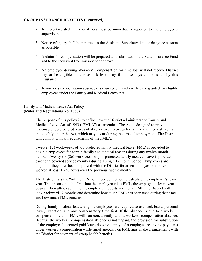- 2. Any work-related injury or illness must be immediately reported to the employee's supervisor.
- 3. Notice of injury shall be reported to the Assistant Superintendent or designee as soon as possible.
- 4. A claim for compensation will be prepared and submitted to the State Insurance Fund and to the Industrial Commission for approval.
- 5. An employee drawing Workers' Compensation for time lost will not receive District pay or be eligible to receive sick leave pay for those days compensated by this insurance.
- 6. A worker's compensation absence may run concurrently with leave granted for eligible employees under the Family and Medical Leave Act.

# Family and Medical Leave Act Policy (Rules and Regulations No. 4360)

The purpose of this policy is to define how the District administers the Family and Medical Leave Act of 1993 ("FMLA") as amended. The Act is designed to provide reasonable job protected leaves of absence to employees for family and medical events that qualify under the Act, which may occur during the time of employment. The District will comply with all requirements of the FMLA.

Twelve (12) workweeks of job-protected family medical leave (FML) is provided to eligible employees for certain family and medical reasons during any twelve-month period. Twenty-six (26) workweeks of job-protected family medical leave is provided to care for a covered service member during a single 12 month period. Employees are eligible if they have been employed with the District for at least one year and have worked at least 1,250 hours over the previous twelve months.

The District uses the "rolling" 12-month period method to calculate the employee's leave year. That means that the first time the employee takes FML, the employee's leave year begins. Thereafter, each time the employee requests additional FML, the District will look backward 12 months and determine how much FML has been used during that time and how much FML remains.

During family medical leave, eligible employees are required to use sick leave, personal leave, vacation, and any compensatory time first. If the absence is due to a workers' compensation claim, FML will run concurrently with a workers' compensation absence. Because the workers' compensation absence is not unpaid, the provision for substitution of the employee's accrued paid leave does not apply. An employee receiving payments under workers' compensation while simultaneously on FML must make arrangements with the District for payment of group health benefits.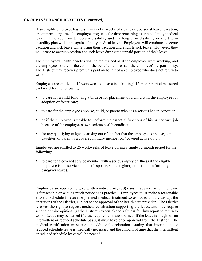If an eligible employee has less than twelve weeks of sick leave, personal leave, vacation, or compensatory time, the employee may take the time remaining as unpaid family medical leave. Time spent on temporary disability under a long term disability or short term disability plan will count against family medical leave. Employees will continue to accrue vacation and sick leave while using their vacation and eligible sick leave. However, they will cease to accrue vacation and sick leave during the unpaid portion of their leave.

The employee's health benefits will be maintained as if the employee were working, and the employee's share of the cost of the benefits will remain the employee's responsibility. The District may recover premiums paid on behalf of an employee who does not return to work.

Employees are entitled to 12 workweeks of leave in a "rolling" 12-month period measured backward for the following:

- to care for a child following a birth or for placement of a child with the employee for adoption or foster care;
- to care for the employee's spouse, child, or parent who has a serious health condition;
- or if the employee is unable to perform the essential functions of his or her own job because of the employee's own serious health condition.
- for any qualifying exigency arising out of the fact that the employee's spouse, son, daughter, or parent is a covered military member on "covered active duty".

Employees are entitled to 26 workweeks of leave during a single 12 month period for the following:

 to care for a covered service member with a serious injury or illness if the eligible employee is the service member's spouse, son, daughter, or next of kin (military caregiver leave).

Employees are required to give written notice thirty (30) days in advance when the leave is foreseeable or with as much notice as is practical. Employees must make a reasonable effort to schedule foreseeable planned medical treatment so as not to unduly disrupt the operations of the District, subject to the approval of the health care provider. The District reserves the right to request medical certification supporting the leave, and may require second or third opinions (at the District's expense) and a fitness for duty report to return to work. Leave may be denied if these requirements are not met. If the leave is sought on an intermittent or reduced schedule basis, it must have prior approval from the District. The medical certification must contain additional declarations stating that intermittent or reduced schedule leave is medically necessary and the amount of time that the intermittent or reduced schedule leave will be needed.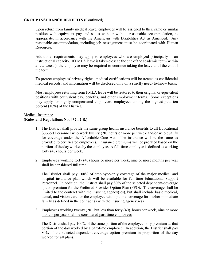Upon return from family medical leave, employees will be assigned to their same or similar position with equivalent pay and status with or without reasonable accommodation, as appropriate, in accordance with the Americans with Disabilities Act as Amended. Any reasonable accommodation, including job reassignment must be coordinated with Human Resources.

Additional requirements may apply to employees who are employed principally in an instructional capacity. If FMLA leave is taken close to the end of the academic term (within a few weeks), the employee may be required to continue taking the leave until the end of the term.

To protect employees' privacy rights, medical certifications will be treated as confidential medical records, and information will be disclosed only on a strictly need- to-know basis.

Most employees returning from FMLA leave will be restored to their original or equivalent positions with equivalent pay, benefits, and other employment terms. Some exceptions may apply for highly compensated employees, employees among the highest paid ten percent (10%) of the District.

# Medical Insurance

# (Rules and Regulations No. 4320.2.B.)

- 1. The District shall provide the same group health insurance benefits to all Educational Support Personnel who work twenty (20) hours or more per week and/or who qualify for coverage under the Affordable Care Act. The insurance will be the same as provided to certificated employees. Insurance premiums will be prorated based on the portion of the day worked by the employee. A full-time employee is defined as working forty (40) hours per week.
- 2. Employees working forty (40) hours or more per week, nine or more months per year shall be considered full time.

The District shall pay 100% of employee-only coverage of the major medical and hospital insurance plan which will be available for full-time Educational Support Personnel. In addition, the District shall pay 80% of the selected dependent-coverage option premium for the Preferred Provider Option Plan (PPO). The coverage shall be limited to the contract with the insuring agency(ies), but shall include basic medical, dental, and vision care for the employee with optional coverage for his/her immediate family as defined in the contract(s) with the insuring agency(ies).

3. Employees working twenty (20), but less than forty (40), hours per week, nine or more months per year shall be considered part-time employees.

The District shall pay 100% of the same portion of the employee-only premium as that portion of the day worked by a part-time employee. In addition, the District shall pay 80% of the selected dependent-coverage option premium in proportion of the day worked for all plans.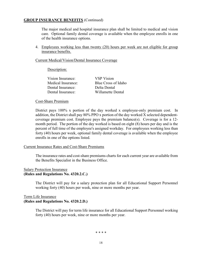The major medical and hospital insurance plan shall be limited to medical and vision care. Optional family dental coverage is available when the employee enrolls in one of the health insurance options.

4. Employees working less than twenty (20) hours per week are not eligible for group insurance benefits.

### Current Medical/Vision/Dental Insurance Coverage

### Description:

| <b>VSP</b> Vision   |
|---------------------|
| Blue Cross of Idaho |
| Delta Dental        |
| Willamette Dental   |
|                     |

### Cost-Share Premium

District pays 100% x portion of the day worked x employee-only premium cost. In addition, the District shall pay 80% PPO x portion of the day worked X selected dependentcoverage premium cost. Employee pays the premium balance(s). Coverage is for a 12 month period. The portion of the day worked is based on eight (8) hours per day and is the percent of full time of the employee's assigned workday. For employees working less than forty (40) hours per week, optional family dental coverage is available when the employee enrolls in one of the options listed.

### Current Insurance Rates and Cost-Share Premiums

The insurance rates and cost-share premiums charts for each current year are available from the Benefits Specialist in the Business Office.

#### Salary Protection Insurance (Rules and Regulations No. 4320.2.C.)

The District will pay for a salary protection plan for all Educational Support Personnel working forty (40) hours per week, nine or more months per year.

# Term Life Insurance (Rules and Regulations No. 4320.2.D.)

The District will pay for term life insurance for all Educational Support Personnel working forty (40) hours per week, nine or more months per year.

\* \* \* \*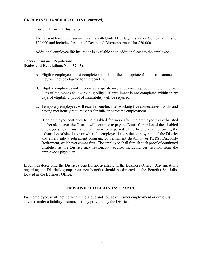# Current Term Life Insurance

The present term life insurance plan is with United Heritage Insurance Company. It is for \$20,000 and includes Accidental Death and Dismemberment for \$20,000.

Additional employee life insurance is available at an additional cost to the employee.

# General Insurance Regulations (Rules and Regulations No. 4320.3)

- A. Eligible employees must complete and submit the appropriate forms for insurance or they will not be eligible for the benefits.
- B. Eligible employees will receive appropriate insurance coverage beginning on the first (1st) of the month following eligibility. If enrollment is not completed within thirty days of eligibility, proof of insurability will be required.
- C. Temporary employees will receive benefits after working five consecutive months and having met hourly requirements for full- or part-time employment.
- D. If an employee continues to be disabled for work after the employee has exhausted his/her sick leave, the District will continue to pay the District's portion of the disabled employee's health insurance premium for a period of up to one year following the exhaustion of sick leave or when the employee leaves the employment of the District and enters into a retirement program, or permanent disability, or PERSI Disability Retirement, whichever comes first. The employee shall furnish such proof of continued disability as the District may reasonably require, including certification from the employee's physician.

Brochures describing the District's benefits are available in the Business Office. Any questions regarding the District's group insurance benefits should be directed to the Benefits Specialist located in the Business Office.

# EMPLOYEE LIABILITY INSURANCE

Each employee, while acting within the scope and course of his/her employment or duties, is covered under a liability insurance policy provided by the District.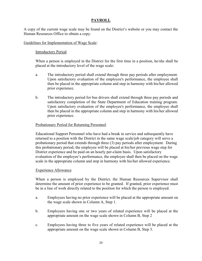# PAYROLL

A copy of the current wage scale may be found on the District's website or you may contact the Human Resources Office to obtain a copy.

# Guidelines for Implementation of Wage Scale:

# Introductory Period

When a person is employed in the District for the first time in a position, he/she shall be placed at the introductory level of the wage scale:

- a. The introductory period shall extend through three pay periods after employment. Upon satisfactory evaluation of the employee's performance, the employee shall then be placed in the appropriate column and step in harmony with his/her allowed prior experience.
- b. The introductory period for bus drivers shall extend through three pay periods and satisfactory completion of the State Department of Education training program. Upon satisfactory evaluation of the employee's performance, the employee shall then be placed in the appropriate column and step in harmony with his/her allowed prior experience.

# Probationary Period for Returning Personnel

Educational Support Personnel who have had a break in service and subsequently have returned to a position with the District in the same wage scale/job category will serve a probationary period that extends through three (3) pay periods after employment. During this probationary period, the employee will be placed at his/her previous wage step for District experience and be paid on an hourly per-claim basis. Upon satisfactory evaluation of the employee's performance, the employee shall then be placed on the wage scale in the appropriate column and step in harmony with his/her allowed experience.

### Experience Allowance

When a person is employed by the District, the Human Resources Supervisor shall determine the amount of prior experience to be granted. If granted, prior experience must be in a line of work directly related to the position for which the person is employed.

- a. Employees having no prior experience will be placed at the appropriate amount on the wage scale shown in Column A, Step 1.
- b. Employees having one or two years of related experience will be placed at the appropriate amount on the wage scale shown in Column B, Step 2
- c. Employees having three to five years of related experience will be placed at the appropriate amount on the wage scale shown in Column B, Step 3.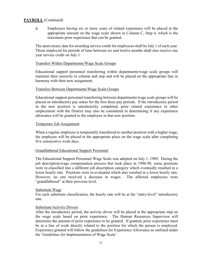d. Employees having six or more years of related experience will be placed at the appropriate amount on the wage scale shown in Column C, Step 6, which is the maximum prior experience that can be granted.

The anniversary date for awarding service credit for employees shall be July 1 of each year. Those employed for periods of time between six and twelve months shall also receive one year service credit on July 1.

### Transfers Within Departments/Wage Scale Groups

Educational support personnel transferring within departments/wage scale groups will maintain their seniority in column and step and will be placed on the appropriate line in harmony with their new assignment.

### Transfers Between Departments/Wage Scale Groups

Educational support personnel transferring between departments/wage scale groups will be placed on introductory pay status for the first three pay periods. If the introductory period in the new position is satisfactorily completed, prior related experience in other employment with the District may also be considered in determining if any experience allowance will be granted to the employee in that new position.

### Temporary Job Assignment

When a regular employee is temporarily transferred to another position with a higher wage, the employee will be placed in the appropriate place on the wage scale after completing five consecutive work days.

# Grandfathered Educational Support Personnel

The Educational Support Personnel Wage Scale was adopted on July 1, 1989. During the job description/wage compensation process that took place in 1996-98, some positions were re-classified into a different job description category which eventually resulted in a lower hourly rate. Positions were re-evaluated which also resulted in a lower hourly rate. However, no one received a decrease in wages. The affected employees were "grandfathered" at their previous level.

### Substitute Wage

For each substitute classification, the hourly rate will be at the "entry-level" introductory rate.

### Substitute/Activity Drivers

After the introductory period, the activity driver will be placed at the appropriate step on the wage scale based on prior experience. The Human Resources Supervisor will determine the amount of prior experience to be granted. If granted, prior experience must be in a line of work directly related to the position for which the person is employed. Experience granted will follow the guidelines for Experience Allowance as outlined under the 'Guidelines for Implementation of Wage Scale'.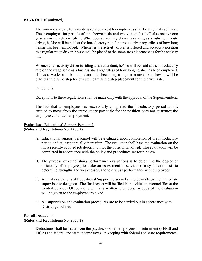The anniversary date for awarding service credit for employees shall be July 1 of each year. Those employed for periods of time between six and twelve months shall also receive one year service credit on July 1. Whenever an activity driver is driving as a substitute route driver, he/she will be paid at the introductory rate for a route driver regardless of how long he/she has been employed. Whenever the activity driver is offered and accepts a position as a regular route driver, he/she will be placed at the same step placement as for the activity rate.

Whenever an activity driver is riding as an attendant, he/she will be paid at the introductory rate on the wage scale as a bus assistant regardless of how long he/she has been employed. If he/she works as a bus attendant after becoming a regular route driver, he/she will be placed at the same step for bus attendant as the step placement for the driver rate.

### Exceptions

Exceptions to these regulations shall be made only with the approval of the Superintendent.

The fact that an employee has successfully completed the introductory period and is entitled to move from the introductory pay scale for the position does not guarantee the employee continued employment.

#### Evaluations, Educational Support Personnel (Rules and Regulations No. 4200.2)

- A. Educational support personnel will be evaluated upon completion of the introductory period and at least annually thereafter. The evaluator shall base the evaluation on the most recently adopted job description for the position involved. The evaluation will be completed in accordance with the policy and procedures set forth below.
- B. The purpose of establishing performance evaluations is to determine the degree of efficiency of employees, to make an assessment of service on a systematic basis to determine strengths and weaknesses, and to discuss performance with employees.
- C. Annual evaluations of Educational Support Personnel are to be made by the immediate supervisor or designee. The final report will be filed in individual personnel files at the Central Services Office along with any written rejoinders. A copy of the evaluation will be given to the employee involved.
- D. All supervision and evaluation procedures are to be carried out in accordance with District guidelines.

# Payroll Deductions (Rules and Regulations No. 2070.2)

Deductions shall be made from the paychecks of all employees for retirement (PERSI and FICA) and federal and state income taxes, In keeping with federal and state requirements,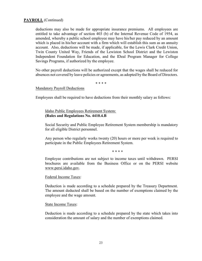deductions may also be made for appropriate insurance premiums. All employees are entitled to take advantage of section 403 (b) of the Internal Revenue Code of 1954, as amended, whereby a public school employee may have his/her pay reduced by an amount which is placed in his/her account with a firm which will establish this sum as an annuity account. Also, deductions will be made, if applicable, for the Lewis Clark Credit Union, Twin County United Way, Friends of the Lewiston School District and the Lewiston Independent Foundation for Education, and the IDeal Program Manager for College Savings Programs, if authorized by the employee.

No other payroll deductions will be authorized except that the wages shall be reduced for absences not covered by leave policies or agreements, as adopted by the Board of Directors.

\* \* \* \*

#### Mandatory Payroll Deductions

Employees shall be required to have deductions from their monthly salary as follows:

### Idaho Public Employees Retirement System: (Rules and Regulations No. 4410.4.B

Social Security and Public Employee Retirement System membership is mandatory for all eligible District personnel.

Any person who regularly works twenty (20) hours or more per week is required to participate in the Public Employees Retirement System.

\* \* \* \*

Employee contributions are not subject to income taxes until withdrawn. PERSI brochures are available from the Business Office or on the PERSI website www.persi.idaho.gov.

#### Federal Income Taxes:

Deduction is made according to a schedule prepared by the Treasury Department. The amount deducted shall be based on the number of exemptions claimed by the employee and the wage amount.

#### State Income Taxes:

Deduction is made according to a schedule prepared by the state which takes into consideration the amount of salary and the number of exemptions claimed.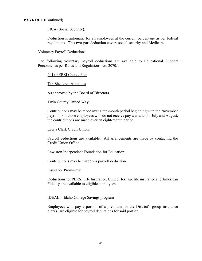FICA (Social Security):

Deduction is automatic for all employees at the current percentage as per federal regulations. This two-part deduction covers social security and Medicare.

Voluntary Payroll Deductions:

The following voluntary payroll deductions are available to Educational Support Personnel as per Rules and Regulations No. 2070.1

#### 401k PERSI Choice Plan

Tax Sheltered Annuities

As approved by the Board of Directors.

#### Twin County United Way:

Contributions may be made over a ten-month period beginning with the November payroll. For those employees who do not receive pay warrants for July and August, the contributions are made over an eight-month period.

#### Lewis Clark Credit Union:

Payroll deductions are available. All arrangements are made by contacting the Credit Union Office.

#### Lewiston Independent Foundation for Education:

Contributions may be made via payroll deduction.

#### Insurance Premiums:

Deductions for PERSI Life Insurance, United Heritage life insurance and American Fidelity are available to eligible employees.

IDEAL: - Idaho College Savings program

Employees who pay a portion of a premium for the District's group insurance plan(s) are eligible for payroll deductions for said portion.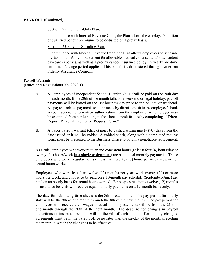Section 125 Premium-Only Plan:

In compliance with Internal Revenue Code, the Plan allows the employee's portion of qualified benefit premiums to be deducted on a pretax basis.

Section 125 Flexible Spending Plan:

In compliance with Internal Revenue Code, the Plan allows employees to set aside pre-tax dollars for reimbursement for allowable medical expenses and/or dependent day-care expenses, as well as a pre-tax cancer insurance policy. A yearly one-time enrollment/change period applies. This benefit is administered through American Fidelity Assurance Company.

# Payroll Warrants (Rules and Regulations No. 2070.1)

- A. All employees of Independent School District No. 1 shall be paid on the 20th day of each month. If the 20th of the month falls on a weekend or legal holiday, payroll payments will be issued on the last business day prior to the holiday or weekend. All payroll-related payments shall be made by direct deposit to the employee's bank account according to written authorization from the employee. An employee may be exempted from participating in the direct deposit feature by completing a "Direct Deposit Personal Exemption Request Form."
- B. A paper payroll warrant (check) must be cashed within ninety (90) days from the date issued or it will be voided. A voided check, along with a completed request form, must be presented to the Business Office to obtain a negotiable replacement.

 \* \* \* \* As a rule, employees who work regular and consistent hours (at least four (4) hours/day or twenty (20) hours/week in a single assignment) are paid equal monthly payments. Those employees who work irregular hours or less than twenty (20) hours per week are paid for actual hours worked.

Employees who work less than twelve (12) months per year, work twenty (20) or more hours per week, and choose to be paid on a 10-month pay schedule (September-June) are paid on an hourly basis for actual hours worked. Employees receiving twelve (12) months of insurance benefits will receive equal monthly payments on a 12-month basis only.

The date for submitting time sheets is the 8th of each month. The pay period for hourly staff will be the 9th of one month through the 8th of the next month. The pay period for employees who receive their wages in equal monthly payments will be from the 21st of one month through the 20th of the next month. The deadline for changes in payroll deductions or insurance benefits will be the 6th of each month. For annuity changes, agreements must be in the payroll office no later than the payday of the month preceding the month in which the change is to be effective.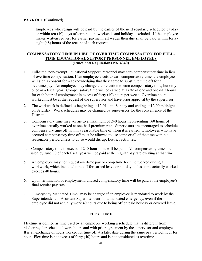Employees who resign will be paid by the earlier of the next regularly scheduled payday or within ten (10) days of termination, weekends and holidays excluded. If the employee makes written request for earlier payment, all wages then due shall be paid within fortyeight (48) hours of the receipt of such request.

# COMPENSATORY TIME IN LIEU OF OVER TIME COMPENSATION FOR FULL-TIME EDUCATIONAL SUPPORT PERSONNEL EMPLOYEES (Rules and Regulations No. 4340)

- 1. Full-time, non-exempt Educational Support Personnel may earn compensatory time in lieu of overtime compensation. If an employee elects to earn compensatory time, the employee will sign a consent form acknowledging that they agree to substitute time off for all overtime pay. An employee may change their election to earn compensatory time, but only once in a fiscal year. Compensatory time will be earned at a rate of one and one-half hours for each hour of employment in excess of forty (40) hours per week. Overtime hours worked must be at the request of the supervisor and have prior approval by the supervisor.
- 2. The workweek is defined as beginning at 12:01 a.m. Sunday and ending at 12:00 midnight on Saturday. Work schedules may be changed by supervisors for the convenience of the District.
- 3. Compensatory time may accrue to a maximum of 240 hours, representing 160 hours of overtime actually worked at one-half premium rate. Supervisors are encouraged to schedule compensatory time off within a reasonable time of when it is earned. Employees who have accrued compensatory time off must be allowed to use some or all of the time within a reasonable period unless to do so would disrupt District activities.
- 4. Compensatory time in excess of 240-hour limit will be paid. All compensatory time not used by June 30 of each fiscal year will be paid at the regular pay rate existing at that time.
- 5. An employee may not request overtime pay or comp time for time worked during a workweek, which included time off for earned leave or holiday, unless time actually worked exceeds 40 hours.
- 6. Upon termination of employment, unused compensatory time will be paid at the employee's final regular pay rate.
- 7. "Emergency Mandated Time" may be charged if an employee is mandated to work by the Superintendent or Assistant Superintendent for a mandated emergency, even if the employee did not actually work 40 hours due to being off on paid holiday or covered leave.

# FLEX TIME

Flextime is defined as time used by an employee working a schedule that is different from his/her regular scheduled work hours and with prior agreement by the supervisor and employee. It is an exchange of hours worked for time off at a later date during the same pay period, hour for hour. Flex time is not excess of forty (40) hours and is not considered as overtime.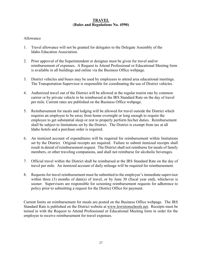# **TRAVEL** (Rules and Regulations No. 4590)

# Allowance

- 1. Travel allowance will not be granted for delegates to the Delegate Assembly of the Idaho Education Association.
- 2. Prior approval of the Superintendent or designee must be given for travel and/or reimbursement of expenses. A Request to Attend Professional or Educational Meeting form is available in all buildings and online via the Business Office webpage.
- 3. District vehicles and buses may be used by employees to attend area educational meetings. The Transportation Supervisor is responsible for coordinating the use of District vehicles.
- 4. Authorized travel out of the District will be allowed at the regular tourist rate by common carrier or by private vehicle to be reimbursed at the IRS Standard Rate on the day of travel per mile. Current rates are published on the Business Office webpage.
- 5. Reimbursement for meals and lodging will be allowed for travel outside the District which requires an employee to be away from home overnight or long enough to require the employee to get substantial sleep or rest to properly perform his/her duties. Reimbursement shall be subject to limitations set by the District. The District is exempt from tax at all Idaho hotels and a purchase order is required.
- 6. An itemized account of expenditures will be required for reimbursement within limitations set by the District. Original receipts are required. Failure to submit itemized receipts shall result in denial of reimbursement request. The District shall not reimburse for meals of family members, or other traveling companions, and shall not reimburse for alcoholic beverages.
- 7. Official travel within the District shall be reimbursed at the IRS Standard Rate on the day of travel per mile. An itemized account of daily mileage will be required for reimbursement.
- 8. Requests for travel reimbursement must be submitted to the employee's immediate supervisor within three (3) months of date(s) of travel, or by June 30 (fiscal year end), whichever is sooner. Supervisors are responsible for screening reimbursement requests for adherence to policy prior to submitting a request for the District Office for payment.

Current limits on reimbursement for meals are posted on the Business Office webpage. The IRS Standard Rate is published on the District website at www.lewistonschools.net. Receipts must be turned in with the Request to Attend Professional or Educational Meeting form in order for the employee to receive reimbursement for travel expenses.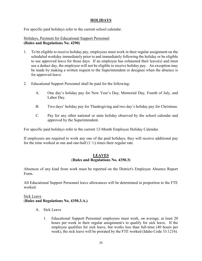# HOLIDAYS

For specific paid holidays refer to the current school calendar.

# Holidays, Payment for Educational Support Personnel (Rules and Regulations No. 4290)

- 1. To be eligible to receive holiday pay, employees must work in their regular assignment on the scheduled workday immediately prior to and immediately following the holiday or be eligible to use approved leave for those days. If an employee has exhausted their leave(s) and must use a deduct day, the employee will not be eligible to receive holiday pay. An exception may be made by making a written request to the Superintendent or designee when the absence is for approved leave.
- 2. Educational Support Personnel shall be paid for the following:
	- A. One day's holiday pay for New Year's Day, Memorial Day, Fourth of July, and Labor Day.
	- B. Two days' holiday pay for Thanksgiving and two day's holiday pay for Christmas.
	- C. Pay for any other national or state holiday observed by the school calendar and approved by the Superintendent.

For specific paid holidays refer to the current 12-Month Employee Holiday Calendar.

If employees are required to work any one of the paid holidays, they will receive additional pay for the time worked at one and one-half  $(1 \frac{1}{2})$  times their regular rate.

#### **LEAVES** (Rules and Regulations No. 4350.3)

Absences of any kind from work must be reported on the District's Employee Absence Report Form.

All Educational Support Personnel leave allowances will be determined in proportion to the FTE worked.

### Sick Leave (Rules and Regulations No. 4350.3.A.)

- A. Sick Leave
	- 1. Educational Support Personnel employees must work, on average, at least 20 hours per week in their regular assignment/s to qualify for sick leave. If the employee qualifies for sick leave, but works less than full-time (40 hours per week), the sick leave will be prorated by the FTE worked (Idaho Code 33.1216).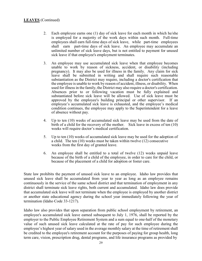- 2. Each employee earns one (1) day of sick leave for each month in which he/she is employed for a majority of the work days within such month. Full-time employees shall earn full-time days of sick leave, while part-time employees shall earn part-time days of sick leave. An employee may accumulate an unlimited number of sick leave days, but is not entitled to payment for unused sick leave if that employee's employment terminates.
- 3. An employee may use accumulated sick leave when that employee becomes unable to work by reason of sickness, accident, or disability (including pregnancy). It may also be used for illness in the family. Any claim for sick leave shall be submitted in writing and shall require such reasonable substantiation as the District may require, including a doctor's certification that the employee is unable to work by reason of accident, illness, or disability. When used for illness in the family, the District may also require a doctor's certification. Absences prior to or following vacation must be fully explained and substantiated before sick leave will be allowed. Use of sick leave must be approved by the employee's building principal or other supervisor. If an employee's accumulated sick leave is exhausted, and the employee's medical condition continues, the employee may apply to the Superintendent for a leave of absence without pay.
- 4. Up to ten (10) weeks of accumulated sick leave may be used from the date of birth of a child for the recovery of the mother. Sick leave in excess of ten (10) weeks will require doctor's medical certification.
- 5. Up to ten (10) weeks of accumulated sick leave may be used for the adoption of a child. The ten (10) weeks must be taken within twelve (12) consecutive weeks from the first day of granted leave.
- 6. An employee shall be entitled to a total of twelve (12) weeks unpaid leave because of the birth of a child of the employee, in order to care for the child, or because of the placement of a child for adoption or foster care.

State law prohibits the payment of unused sick leave to an employee. Idaho law provides that unused sick leave shall be accumulated from year to year as long as an employee remains continuously in the service of the same school district and that termination of employment in any district shall terminate sick leave rights, both current and accumulated. Idaho law does provide that accumulated sick leave will not terminate when the employee is employed by another district or another state educational agency during the school year immediately following the year of termination (Idaho Code 33-1217).

Idaho law also provides that upon separation from public school employment by retirement, an employee's accumulated sick leave earned subsequent to July 1, 1976, shall be reported by the employer to the Public Employee Retirement System and a sum equal to one-half of the monetary value of such unused sick leave calculated at the rate of pay for such employee during the employee's highest year of salary used in the average monthly salary at the time of retirement shall be credited to the employee's retirement account for the purposes of paying for group health, long term care, vision, prescription drug, dental programs, and life insurance programs as provided by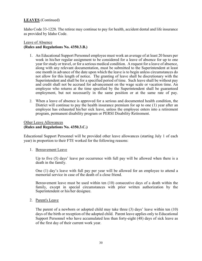Idaho Code 33-1228. The retiree may continue to pay for health, accident dental and life insurance as provided by Idaho Code.

# Leave of Absence (Rules and Regulations No. 4350.3.B.)

- 1. An Educational Support Personnel employee must work an average of at least 20 hours per week in his/her regular assignment to be considered for a leave of absence for up to one year for study or travel, or for a serious medical condition. A request for a leave of absence, along with any relevant documentation, must be submitted to the Superintendent at least one month in advance of the date upon which the leave is to begin unless circumstances do not allow for this length of notice. The granting of leave shall be discretionary with the Superintendent and shall be for a specified period of time. Such leave shall be without pay and credit shall not be accrued for advancement on the wage scale or vacation time. An employee who returns at the time specified by the Superintendent shall be guaranteed employment, but not necessarily in the same position or at the same rate of pay.
- 2. When a leave of absence is approved for a serious and documented health condition, the District will continue to pay the health insurance premium for up to one (1) year after an employee has exhausted his/her sick leave, unless the employee enters into a retirement program, permanent disability program or PERSI Disability Retirement.

# Other Leave Allowances (Rules and Regulations No. 4350.3.C.)

Educational Support Personnel will be provided other leave allowances (starting July 1 of each year) in proportion to their FTE worked for the following reasons:

### 1. Bereavement Leave

Up to five (5) days' leave per occurrence with full pay will be allowed when there is a death in the family.

One (1) day's leave with full pay per year will be allowed for an employee to attend a memorial service in case of the death of a close friend.

Bereavement leave must be used within ten (10) consecutive days of a death within the family, except in special circumstances with prior written authorization by the Superintendent or his/her designee.

### 2. Parent's Leave

The parent of a newborn or adopted child may take three (3) days' leave within ten (10) days of the birth or reception of the adopted child. Parent leave applies only to Educational Support Personnel who have accumulated less than forty-eight (48) days of sick leave as of the first day of their current work year.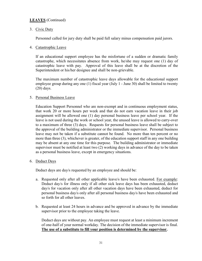# 3. Civic Duty

Personnel called for jury duty shall be paid full salary minus compensation paid jurors.

### 4. Catastrophic Leave

If an educational support employee has the misfortune of a sudden or dramatic family catastrophe, which necessitates absence from work, he/she may request one (1) day of catastrophic leave with pay. Approval of this leave shall be at the discretion of the Superintendent or his/her designee and shall be non-grievable.

The maximum number of catastrophic leave days allowable for the educational support employee group during any one (1) fiscal year (July 1 - June 30) shall be limited to twenty (20) days.

### 5. Personal Business Leave

Education Support Personnel who are non-exempt and in continuous employment status, that work 20 or more hours per week and that do not earn vacation leave in their job assignment will be allowed one (1) day personal business leave per school year. If the leave is not used during the work or school year, the unused leave is allowed to carry-over to a maximum of three (3) days. Requests for personal business leave shall be subject to the approval of the building administrator or the immediate supervisor. Personal business leave may not be taken if a substitute cannot be found. No more than ten percent or no more than three (3), whichever is greater, of the education support staff in any one building may be absent at any one time for this purpose. The building administrator or immediate supervisor must be notified at least two (2) working days in advance of the day to be taken as a personal business leave, except in emergency situations.

### 6. Deduct Days

Deduct days are day/s requested by an employee and should be:

- a. Requested only after all other applicable leave/s have been exhausted. For example: Deduct day/s for illness only if all other sick leave days has been exhausted, deduct day/s for vacation only after all other vacation days have been exhausted, deduct for personal business day/s only after all personal business day/s have been exhausted and so forth for all other leaves.
- b. Requested at least 24 hours in advance and be approved in advance by the immediate supervisor prior to the employee taking the leave.

Deduct days are without pay. An employee must request at least a minimum increment of one-half of your normal workday. The decision of the immediate supervisor is final. The use of a substitute to fill your position is determined by the supervisor.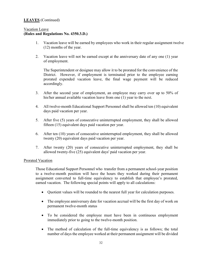# Vacation Leave (Rules and Regulations No. 4350.3.D.)

- 1. Vacation leave will be earned by employees who work in their regular assignment twelve (12) months of the year.
- 2. Vacation leave will not be earned except at the anniversary date of any one (1) year of employment.

The Superintendent or designee may allow it to be prorated for the convenience of the District. However, if employment is terminated prior to the employee earning prorated expended vacation leave, the final wage payment will be reduced accordingly.

- 3. After the second year of employment, an employee may carry over up to 50% of his/her annual available vacation leave from one (1) year to the next.
- 4. All twelve-month Educational Support Personnel shall be allowed ten (10) equivalent days paid vacation per year.
- 5. After five (5) years of consecutive uninterrupted employment, they shall be allowed fifteen (15) equivalent days paid vacation per year.
- 6. After ten (10) years of consecutive uninterrupted employment, they shall be allowed twenty (20) equivalent days paid vacation per year.
- 7. After twenty (20) years of consecutive uninterrupted employment, they shall be allowed twenty-five (25) equivalent days' paid vacation per year.

### Prorated Vacation

Those Educational Support Personnel who transfer from a permanent school-year position to a twelve-month position will have the hours they worked during their permanent assignment converted to full-time equivalency to establish that employee's prorated, earned vacation. The following special points will apply to all calculations:

- Quotient values will be rounded to the nearest full year for calculation purposes.
- The employee anniversary date for vacation accrual will be the first day of work on permanent twelve-month status
- To be considered the employee must have been in continuous employment immediately prior to going to the twelve-month position.
- The method of calculation of the full-time equivalency is as follows; the total number of days the employee worked at their permanent assignment will be divided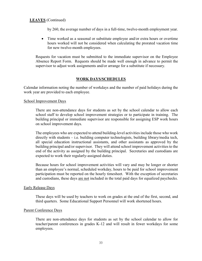by 260, the average number of days in a full-time, twelve-month employment year.

 Time worked as a seasonal or substitute employee and/or extra hours or overtime hours worked will not be considered when calculating the prorated vacation time for new twelve-month employees.

Requests for vacation must be submitted to the immediate supervisor on the Employee Absence Report Form. Requests should be made well enough in advance to permit the supervisor to adjust work assignments and/or arrange for a substitute if necessary.

### WORK DAYS/SCHEDULES

Calendar information noting the number of workdays and the number of paid holidays during the work year are provided to each employee.

#### School Improvement Days

There are non-attendance days for students as set by the school calendar to allow each school staff to develop school improvement strategies or to participate in training. The building principal or immediate supervisor are responsible for assigning ESP work hours on school improvement days.

The employees who are expected to attend building-level activities include those who work directly with students – i.e. building computer technologists, building library/media tech, all special education instructional assistants, and other assistants as approved by the building principal and/or supervisor. They will attend school improvement activities to the end of the activity as assigned by the building principal. Secretaries and custodians are expected to work their regularly-assigned duties.

Because hours for school improvement activities will vary and may be longer or shorter than an employee's normal, scheduled workday, hours to be paid for school improvement participation must be reported on the hourly timesheet. With the exception of secretaries and custodians, these days are not included in the total paid days for equalized paychecks.

#### Early Release Days

These days will be used by teachers to work on grades at the end of the first, second, and third quarters. Some Educational Support Personnel will work shortened hours.

#### Parent Conference Days

There are non-attendance days for students as set by the school calendar to allow for teacher/parent conferences in grades K-12 and will result in fewer workdays for some employees.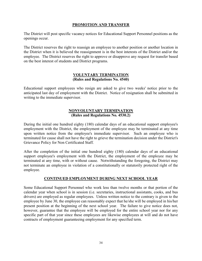# PROMOTION AND TRANSFER

The District will post specific vacancy notices for Educational Support Personnel positions as the openings occur.

The District reserves the right to reassign an employee to another position or another location in the District when it is believed the reassignment is in the best interests of the District and/or the employee. The District reserves the right to approve or disapprove any request for transfer based on the best interest of students and District programs.

### VOLUNTARY TERMINATION (Rules and Regulations No. 4540)

Educational support employees who resign are asked to give two weeks' notice prior to the anticipated last day of employment with the District. Notice of resignation shall be submitted in writing to the immediate supervisor.

# NONVOLUNTARY TERMINATION (Rules and Regulations No. 4530.2)

During the initial one hundred eighty (180) calendar days of an educational support employee's employment with the District, the employment of the employee may be terminated at any time upon written notice from the employee's immediate supervisor. Such an employee who is terminated for cause shall not have the right to grieve the termination decision under the District's Grievance Policy for Non Certificated Staff.

After the completion of the initial one hundred eighty (180) calendar days of an educational support employee's employment with the District, the employment of the employee may be terminated at any time, with or without cause. Notwithstanding the foregoing, the District may not terminate an employee in violation of a constitutionally or statutorily protected right of the employee.

# CONTINUED EMPLOYMENT DURING NEXT SCHOOL YEAR

Some Educational Support Personnel who work less than twelve months or that portion of the calendar year when school is in session (i.e. secretaries, instructional assistants, cooks, and bus drivers) are employed as regular employees. Unless written notice to the contrary is given to the employee by June 30, the employee can reasonably expect that he/she will be employed in his/her present position at the beginning of the next school year. The failure to give notice does not, however, guarantee that the employee will be employed for the entire school year nor for any specific part of that year since these employees are likewise employees at will and do not have contracts of employment guaranteeing employment for any specified term.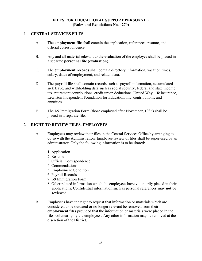# FILES FOR EDUCATIONAL SUPPORT PERSONNEL (Rules and Regulations No. 4270)

### 1. CENTRAL SERVICES FILES

- A. The employment file shall contain the application, references, resume, and official correspondence.
- B. Any and all material relevant to the evaluation of the employee shall be placed in a separate personnel file (evaluation).
- C. The employment records shall contain directory information, vacation times, salary, dates of employment, and related data.
- D. The payroll file shall contain records such as payroll information, accumulated sick leave, and withholding data such as social security, federal and state income tax, retirement contributions, credit union deductions, United Way, life insurance, Lewiston Independent Foundation for Education, Inc. contributions, and annuities.
- E. The I-9 Immigration Form (those employed after November, 1986) shall be placed in a separate file.

# 2. RIGHT TO REVIEW FILES, EMPLOYEES'

- A. Employees may review their files in the Central Services Office by arranging to do so with the Administration. Employee review of files shall be supervised by an administrator. Only the following information is to be shared:
	- 1. Application
	- 2. Resume
	- 3. Official Correspondence
	- 4. Commendations
	- 5. Employment Condition
	- 6. Payroll Records
	- 7. I-9 Immigration Form
	- 8. Other related information which the employees have voluntarily placed in their applications. Confidential information such as personal references may not be reviewed.
- B. Employees have the right to request that information or materials which are considered to be outdated or no longer relevant be removed from their employment files provided that the information or materials were placed in the files voluntarily by the employees. Any other information may be removed at the discretion of the District.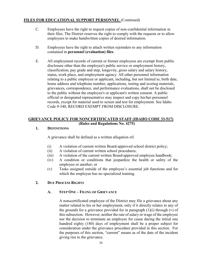# FILES FOR EDUCATIONAL SUPPORT PERSONNEL (Continued)

- C. Employees have the right to request copies of non-confidential information in their files. The District reserves the right to comply with the requests or to allow employees to make handwritten copies of desired information.
- D. Employees have the right to attach written rejoinders to any information contained in personnel (evaluation) files.
- E. All employment records of current or former employees are exempt from public disclosure other than the employee's public service or employment history, classification, pay grade and step, longevity, gross salary and salary history, status, work place, and employment agency. All other personnel information relating to a public employee or applicant, including, but not limited to, birth date, home address and telephone number, applications, testing and scoring materials, grievances, correspondence, and performance evaluations, shall not be disclosed to the public without the employee's or applicant's written consent. A public official or designated representative may inspect and copy his/her personnel records, except for material used to screen and test for employment. See Idaho Code 9-340, RECORD EXEMPT FROM DISCLOSURE.

### GRIEVANCE POLICY FOR NONCERTIFICATED STAFF (IDAHO CODE 33-517) (Rules and Regulations No. 4275)

# 1. DEFINITIONS

A grievance shall be defined as a written allegation of:

- (i) A violation of current written Board-approved school district policy;
- (ii) A violation of current written school procedures;
- (iii) A violation of the current written Board-approved employee handbook;
- (iv) A condition or conditions that jeopardize the health or safety of the employee or another; or
- (v) Tasks assigned outside of the employee's essential job functions and for which the employee has no specialized training.

# 2. DUE PROCESS RIGHTS

# A. STEP ONE – FILING OF GRIEVANCE

A non-certificated employee of the District may file a grievance about any matter related to his or her employment, only if it directly relates to any of the grounds for a grievance provided for in paragraph  $(1)(i)$  through  $(v)$  of this subsection. However, neither the rate of salary or wage of the employee nor the decision to terminate an employee for cause during the initial one hundred eighty (180) days of employment shall be a proper subject for consideration under the grievance procedure provided in this section. For the purposes of this section, "current" means as of the date of the incident giving rise to the grievance.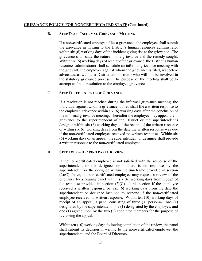### GRIEVANCE POLICY FOR NONCERTIFICATED STAFF (Continued)

#### B. STEP TWO – INFORMAL GRIEVANCE MEETING

If a non-certificated employee files a grievance, the employee shall submit the grievance in writing to the District's human resources administrator within six (6) working days of the incident giving rise to the grievance. The grievance shall state the nature of the grievance and the remedy sought. Within six (6) working days of receipt of the grievance, the District's human resources administrator shall schedule an informal grievance meeting with the grievant, the employee against whom the grievance is filed, respective advocates, as well as a District administrator who will not be involved in the statutory grievance process. The purpose of the meeting shall be to attempt to find a resolution to the employee grievance.

#### C. STEP THREE – APPEAL OF GRIEVANCE

If a resolution is not reached during the informal grievance meeting, the individual against whom a grievance is filed shall file a written response to the employee grievance within six (6) working days after the conclusion of the informal grievance meeting. Thereafter the employee may appeal the grievance to the superintendent of the District or the superintendent's designee within six (6) working days of the receipt of the written response or within six (6) working days from the date the written response was due if the non-certificated employee received no written response. Within six (6) working days of an appeal, the superintendent or designee shall provide a written response to the non-certificated employee.

### D. STEP FOUR – HEARING PANEL REVIEW

If the non-certificated employee is not satisfied with the response of the superintendent or the designee, or if there is no response by the superintendent or the designee within the timeframe provided in section (2)(C) above, the non-certificated employee may request a review of the grievance by a hearing panel within six (6) working days from receipt of the response provided in section  $(2)(C)$  of this section if the employee received a written response, or six (6) working days from the date the superintendent or designee last had to respond if the non-certificated employee received no written response. Within ten (10) working days of receipt of an appeal, a panel consisting of three  $(3)$  persons $\ast$ , one  $(1)$ designated by the superintendent, one (1) designated by the employee, and one (1) agreed upon by the two (2) appointed members for the purpose of reviewing the appeal.

Within ten (10) working days following completion of the review, the panel shall submit its decision in writing to the non-certificated employee, the superintendent, and the Board of Directors.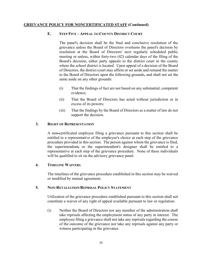# GRIEVANCE POLICY FOR NONCERTIFICATED STAFF (Continued)

### E. STEP FIVE – APPEAL TO COUNTY DISTRICT COURT

The panel's decision shall be the final and conclusive resolution of the grievance unless the Board of Directors overturns the panel's decision by resolution at the Board of Directors' next regularly scheduled public meeting or unless, within forty-two (42) calendar days of the filing of the Board's decision, either party appeals to the district court in the county where the school district is located. Upon appeal of a decision of the Board of Directors, the district court may affirm or set aside and remand the matter to the Board of Directors upon the following grounds, and shall not set the same aside on any other grounds:

- (i) That the findings of fact are not based on any substantial, competent evidence;
- (ii) That the Board of Directors has acted without jurisdiction or in excess of its powers;
- (iii) That the findings by the Board of Directors as a matter of law do not support the decision.

### 3. RIGHT OF REPRESENTATION

A non-certificated employee filing a grievance pursuant to this section shall be entitled to a representative of the employee's choice at each step of the grievance procedure provided in this section. The person against whom the grievance is filed, the superintendent, or the superintendent's designee shall be entitled to a representative at each step of the grievance procedure. None of these individuals will be qualified to sit on the advisory grievance panel.

### 4. TIMELINE WAIVERS

The timelines of the grievance procedure established in this section may be waived or modified by mutual agreement.

### 5. NON-RETALIATION/REPRISAL POLICY STATEMENT

Utilization of the grievance procedure established pursuant to this section shall not constitute a waiver of any right of appeal available pursuant to law or regulation.

(i) Neither the Board of Directors nor any member of the administration shall take reprisals affecting the employment status of any party in interest. The employee filing a grievance shall not take any reprisals regarding the course of the outcome of the grievance nor take any reprisals against any party or witness participating in the grievance.